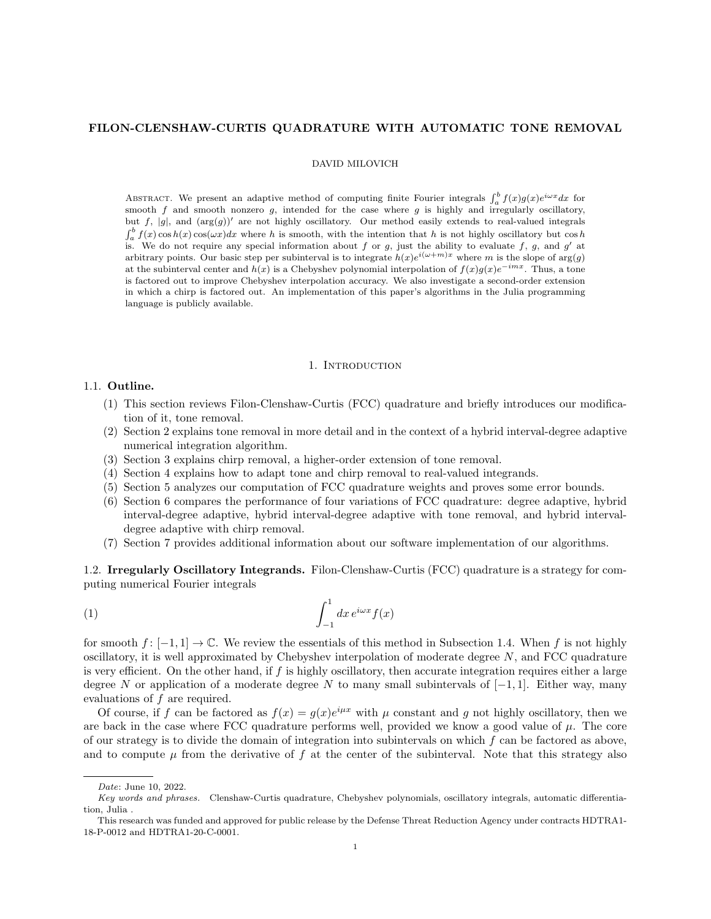# FILON-CLENSHAW-CURTIS QUADRATURE WITH AUTOMATIC TONE REMOVAL

### DAVID MILOVICH

ABSTRACT. We present an adaptive method of computing finite Fourier integrals  $\int_a^b f(x)g(x)e^{i\omega x}dx$  for smooth  $f$  and smooth nonzero  $g$ , intended for the case where  $g$  is highly and irregularly oscillatory, but f,  $|g|$ , and  $(\arg(g))'$  are not highly oscillatory. Our method easily extends to real-valued integrals  $\int_a^b f(x) \cos h(x) \cos(\omega x) dx$  where h is smooth, with the intention that h is not highly oscillatory but  $\cos h$ is. We do not require any special information about f or g, just the ability to evaluate f, g, and  $g'$  at arbitrary points. Our basic step per subinterval is to integrate  $h(x)e^{i(\omega+m)x}$  where m is the slope of  $\arg(g)$ at the subinterval center and  $h(x)$  is a Chebyshev polynomial interpolation of  $f(x)g(x)e^{-imx}$ . Thus, a tone is factored out to improve Chebyshev interpolation accuracy. We also investigate a second-order extension in which a chirp is factored out. An implementation of this paper's algorithms in the Julia programming language is publicly available.

### 1. INTRODUCTION

# 1.1. Outline.

- (1) This section reviews Filon-Clenshaw-Curtis (FCC) quadrature and briefly introduces our modification of it, tone removal.
- (2) Section 2 explains tone removal in more detail and in the context of a hybrid interval-degree adaptive numerical integration algorithm.
- (3) Section 3 explains chirp removal, a higher-order extension of tone removal.
- (4) Section 4 explains how to adapt tone and chirp removal to real-valued integrands.
- (5) Section 5 analyzes our computation of FCC quadrature weights and proves some error bounds.
- (6) Section 6 compares the performance of four variations of FCC quadrature: degree adaptive, hybrid interval-degree adaptive, hybrid interval-degree adaptive with tone removal, and hybrid intervaldegree adaptive with chirp removal.
- (7) Section 7 provides additional information about our software implementation of our algorithms.

1.2. Irregularly Oscillatory Integrands. Filon-Clenshaw-Curtis (FCC) quadrature is a strategy for computing numerical Fourier integrals

$$
(1) \qquad \qquad \int_{-1}^{1} dx \, e^{i\omega x} f(x)
$$

for smooth  $f : [-1, 1] \to \mathbb{C}$ . We review the essentials of this method in Subsection 1.4. When f is not highly oscillatory, it is well approximated by Chebyshev interpolation of moderate degree  $N$ , and FCC quadrature is very efficient. On the other hand, if  $f$  is highly oscillatory, then accurate integration requires either a large degree N or application of a moderate degree N to many small subintervals of  $[-1, 1]$ . Either way, many evaluations of f are required.

Of course, if f can be factored as  $f(x) = g(x)e^{i\mu x}$  with  $\mu$  constant and g not highly oscillatory, then we are back in the case where FCC quadrature performs well, provided we know a good value of  $\mu$ . The core of our strategy is to divide the domain of integration into subintervals on which f can be factored as above, and to compute  $\mu$  from the derivative of f at the center of the subinterval. Note that this strategy also

Date: June 10, 2022.

Key words and phrases. Clenshaw-Curtis quadrature, Chebyshev polynomials, oscillatory integrals, automatic differentiation, Julia .

This research was funded and approved for public release by the Defense Threat Reduction Agency under contracts HDTRA1- 18-P-0012 and HDTRA1-20-C-0001.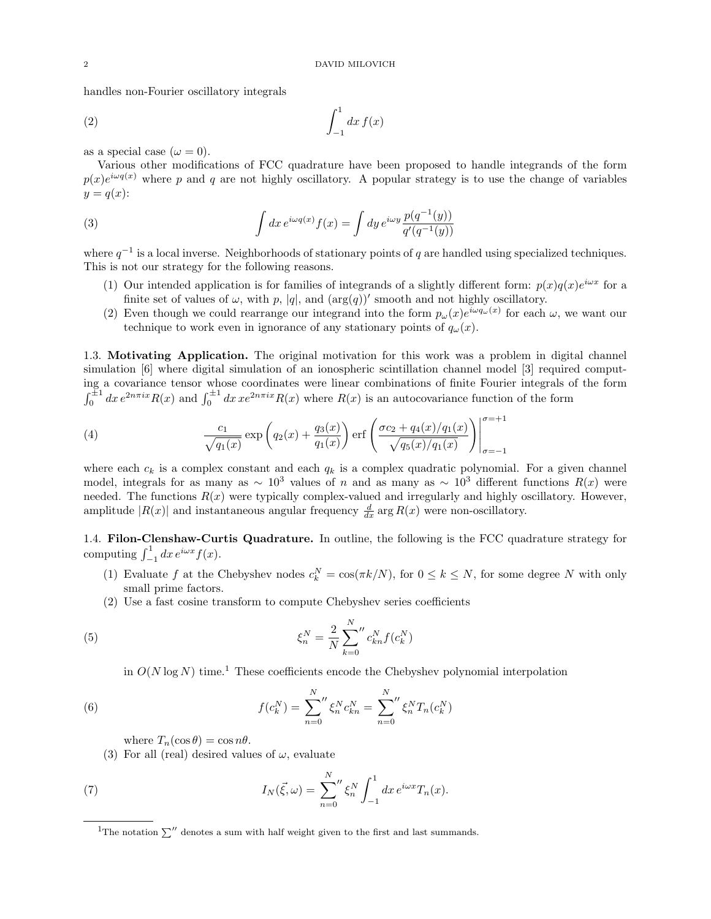handles non-Fourier oscillatory integrals

$$
\int_{-1}^{1} dx f(x)
$$

as a special case  $(\omega = 0)$ .

Various other modifications of FCC quadrature have been proposed to handle integrands of the form  $p(x)e^{i\omega q(x)}$  where p and q are not highly oscillatory. A popular strategy is to use the change of variables  $y = q(x)$ :

(3) 
$$
\int dx e^{i\omega q(x)} f(x) = \int dy e^{i\omega y} \frac{p(q^{-1}(y))}{q'(q^{-1}(y))}
$$

where  $q^{-1}$  is a local inverse. Neighborhoods of stationary points of q are handled using specialized techniques. This is not our strategy for the following reasons.

- (1) Our intended application is for families of integrands of a slightly different form:  $p(x)q(x)e^{i\omega x}$  for a finite set of values of  $\omega$ , with p, |q|, and  $(\arg(q))'$  smooth and not highly oscillatory.
- (2) Even though we could rearrange our integrand into the form  $p_\omega(x)e^{i\omega q_\omega(x)}$  for each  $\omega$ , we want our technique to work even in ignorance of any stationary points of  $q_{\omega}(x)$ .

1.3. Motivating Application. The original motivation for this work was a problem in digital channel simulation [6] where digital simulation of an ionospheric scintillation channel model [3] required computing a covariance tensor whose coordinates were linear combinations of finite Fourier integrals of the form  $\int_0^{\pm 1} dx e^{2n\pi ix} R(x)$  and  $\int_0^{\pm 1} dx xe^{2n\pi ix} R(x)$  where  $R(x)$  is an autocovariance function of the form

(4) 
$$
\frac{c_1}{\sqrt{q_1(x)}} \exp\left(q_2(x) + \frac{q_3(x)}{q_1(x)}\right) \text{erf}\left(\frac{\sigma c_2 + q_4(x)/q_1(x)}{\sqrt{q_5(x)/q_1(x)}}\right) \Big|_{\sigma=-1}^{\sigma=+1}
$$

where each  $c_k$  is a complex constant and each  $q_k$  is a complex quadratic polynomial. For a given channel model, integrals for as many as ∼ 10<sup>3</sup> values of n and as many as ∼ 10<sup>3</sup> different functions  $R(x)$  were needed. The functions  $R(x)$  were typically complex-valued and irregularly and highly oscillatory. However, amplitude  $|R(x)|$  and instantaneous angular frequency  $\frac{d}{dx}$  arg  $R(x)$  were non-oscillatory.

1.4. Filon-Clenshaw-Curtis Quadrature. In outline, the following is the FCC quadrature strategy for computing  $\int_{-1}^{1} dx e^{i\omega x} f(x)$ .

- (1) Evaluate f at the Chebyshev nodes  $c_k^N = \cos(\pi k/N)$ , for  $0 \le k \le N$ , for some degree N with only small prime factors.
- (2) Use a fast cosine transform to compute Chebyshev series coefficients

(5) 
$$
\xi_n^N = \frac{2}{N} \sum_{k=0}^N {n \choose k} f(c_k^N)
$$

in  $O(N \log N)$  time.<sup>1</sup> These coefficients encode the Chebyshev polynomial interpolation

(6) 
$$
f(c_k^N) = \sum_{n=0}^N \zeta_n^N c_{kn}^N = \sum_{n=0}^N \zeta_n^N T_n(c_k^N)
$$

where  $T_n(\cos \theta) = \cos n\theta$ .

(3) For all (real) desired values of  $\omega$ , evaluate

(7) 
$$
I_N(\vec{\xi}, \omega) = \sum_{n=0}^N \zeta_n^N \int_{-1}^1 dx \, e^{i\omega x} T_n(x).
$$

<sup>&</sup>lt;sup>1</sup>The notation  $\sum$ <sup> $\prime\prime$ </sup> denotes a sum with half weight given to the first and last summands.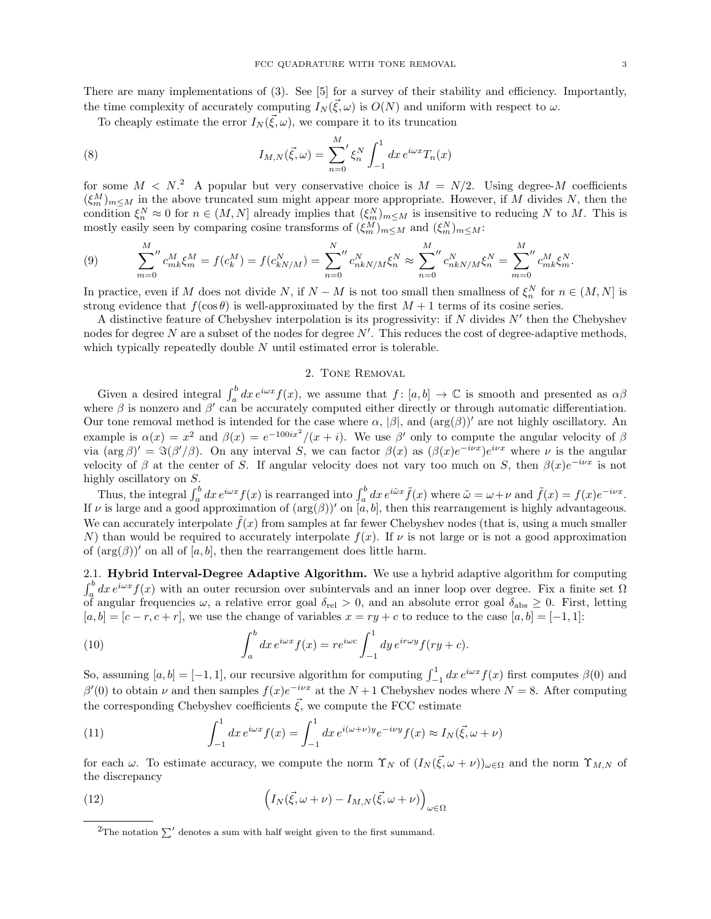There are many implementations of (3). See [5] for a survey of their stability and efficiency. Importantly, the time complexity of accurately computing  $I_N(\vec{\xi}, \omega)$  is  $O(N)$  and uniform with respect to  $\omega$ .

To cheaply estimate the error  $I_N(\vec{\xi}, \omega)$ , we compare it to its truncation

(8) 
$$
I_{M,N}(\vec{\xi},\omega) = \sum_{n=0}^{M} \xi_n^N \int_{-1}^1 dx \, e^{i\omega x} T_n(x)
$$

for some  $M < N<sup>2</sup>$ . A popular but very conservative choice is  $M = N/2$ . Using degree-M coefficients  $(\xi_m^M)_{m\leq M}$  in the above truncated sum might appear more appropriate. However, if M divides N, then the condition  $\xi_n^N \approx 0$  for  $n \in (M, N]$  already implies that  $(\xi_m^N)_{m \le M}$  is insensitive to reducing N to M. This is mostly easily seen by comparing cosine transforms of  $(\xi_m^M)_{m \leq M}$  and  $(\xi_m^N)_{m \leq M}$ :

(9) 
$$
\sum_{m=0}^{M} c_{mk}^{M} \xi_{m}^{M} = f(c_{k}^{M}) = f(c_{kN/M}^{N}) = \sum_{n=0}^{N} c_{nkN/M}^{N} \xi_{n}^{N} \approx \sum_{n=0}^{M} c_{nkN/M}^{N} \xi_{n}^{N} = \sum_{m=0}^{M} c_{mk}^{M} \xi_{m}^{N}.
$$

In practice, even if M does not divide N, if  $N - M$  is not too small then smallness of  $\xi_n^N$  for  $n \in (M, N]$  is strong evidence that  $f(\cos \theta)$  is well-approximated by the first  $M + 1$  terms of its cosine series.

A distinctive feature of Chebyshev interpolation is its progressivity: if  $N$  divides  $N'$  then the Chebyshev nodes for degree N are a subset of the nodes for degree  $N'$ . This reduces the cost of degree-adaptive methods, which typically repeatedly double  $N$  until estimated error is tolerable.

### 2. Tone Removal

Given a desired integral  $\int_a^b dx e^{i\omega x} f(x)$ , we assume that  $f : [a, b] \to \mathbb{C}$  is smooth and presented as  $\alpha\beta$ where  $\beta$  is nonzero and  $\beta'$  can be accurately computed either directly or through automatic differentiation. Our tone removal method is intended for the case where  $\alpha$ ,  $|\beta|$ , and  $(\arg(\beta))'$  are not highly oscillatory. An example is  $\alpha(x) = x^2$  and  $\beta(x) = e^{-100ix^2}/(x+i)$ . We use  $\beta'$  only to compute the angular velocity of  $\beta$ via  $(\arg \beta)' = \Im(\beta'/\beta)$ . On any interval S, we can factor  $\beta(x)$  as  $(\beta(x)e^{-i\nu x})e^{i\nu x}$  where  $\nu$  is the angular velocity of  $\beta$  at the center of S. If angular velocity does not vary too much on S, then  $\beta(x)e^{-i\nu x}$  is not highly oscillatory on S.

Thus, the integral  $\int_a^b dx e^{i\omega x} f(x)$  is rearranged into  $\int_a^b dx e^{i\tilde{\omega}x} \tilde{f}(x)$  where  $\tilde{\omega} = \omega + \nu$  and  $\tilde{f}(x) = f(x)e^{-i\nu x}$ . If  $\nu$  is large and a good approximation of  $(\arg(\beta))'$  on  $[a, b]$ , then this rearrangement is highly advantageous. We can accurately interpolate  $\hat{f}(x)$  from samples at far fewer Chebyshev nodes (that is, using a much smaller N) than would be required to accurately interpolate  $f(x)$ . If  $\nu$  is not large or is not a good approximation of  $(\arg(\beta))^{\prime}$  on all of [a, b], then the rearrangement does little harm.

2.1. Hybrid Interval-Degree Adaptive Algorithm. We use a hybrid adaptive algorithm for computing  $\int_a^b dx e^{i\omega x} f(x)$  with an outer recursion over subintervals and an inner loop over degree. Fix a finite set  $\Omega$ of angular frequencies  $\omega$ , a relative error goal  $\delta_{rel} > 0$ , and an absolute error goal  $\delta_{abs} \geq 0$ . First, letting  $[a, b] = [c - r, c + r]$ , we use the change of variables  $x = ry + c$  to reduce to the case  $[a, b] = [-1, 1]$ :

(10) 
$$
\int_a^b dx e^{i\omega x} f(x) = r e^{i\omega c} \int_{-1}^1 dy e^{i r \omega y} f(ry + c).
$$

So, assuming  $[a, b] = [-1, 1]$ , our recursive algorithm for computing  $\int_{-1}^{1} dx e^{i\omega x} f(x)$  first computes  $\beta(0)$  and  $\beta'(0)$  to obtain  $\nu$  and then samples  $f(x)e^{-i\nu x}$  at the  $N+1$  Chebyshev nodes where  $N=8$ . After computing the corresponding Chebyshev coefficients  $\vec{\xi}$ , we compute the FCC estimate

(11) 
$$
\int_{-1}^{1} dx \, e^{i\omega x} f(x) = \int_{-1}^{1} dx \, e^{i(\omega + \nu)y} e^{-i\nu y} f(x) \approx I_N(\vec{\xi}, \omega + \nu)
$$

for each  $\omega$ . To estimate accuracy, we compute the norm  $\Upsilon_N$  of  $(I_N(\vec{\xi}, \omega + \nu))_{\omega \in \Omega}$  and the norm  $\Upsilon_{M,N}$  of the discrepancy

(12) 
$$
\left(I_N(\vec{\xi}, \omega + \nu) - I_{M,N}(\vec{\xi}, \omega + \nu)\right)_{\omega \in \Omega}
$$

<sup>&</sup>lt;sup>2</sup>The notation  $\sum'$  denotes a sum with half weight given to the first summand.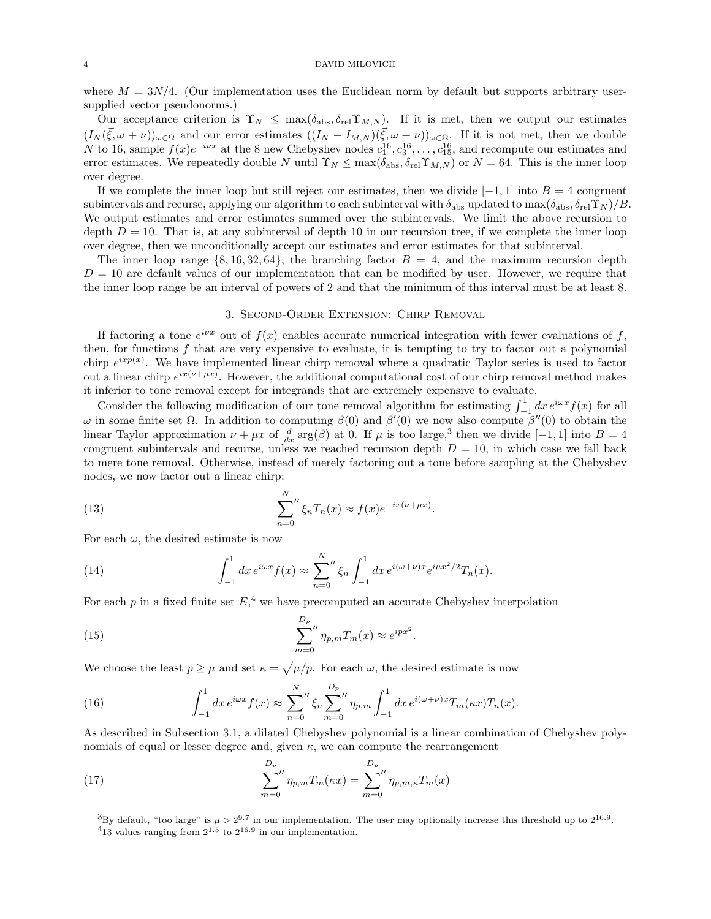where  $M = 3N/4$ . (Our implementation uses the Euclidean norm by default but supports arbitrary usersupplied vector pseudonorms.)

Our acceptance criterion is  $\Upsilon_N \leq \max(\delta_{\text{abs}}, \delta_{\text{rel}} \Upsilon_{M,N})$ . If it is met, then we output our estimates  $(I_N(\vec{\xi},\omega+\nu))_{\omega\in\Omega}$  and our error estimates  $((I_N-I_{M,N})(\vec{\xi},\omega+\nu))_{\omega\in\Omega}$ . If it is not met, then we double N to 16, sample  $f(x)e^{-i\nu x}$  at the 8 new Chebyshev nodes  $c_1^{16}, c_3^{16}, \ldots, c_{15}^{16}$ , and recompute our estimates and error estimates. We repeatedly double N until  $\Upsilon_N \leq \max(\delta_{\text{abs}}, \delta_{\text{rel}} \Upsilon_{M,N})$  or  $N = 64$ . This is the inner loop over degree.

If we complete the inner loop but still reject our estimates, then we divide  $[-1, 1]$  into  $B = 4$  congruent subintervals and recurse, applying our algorithm to each subinterval with  $\delta_{\rm abs}$  updated to max $(\delta_{\rm abs}, \delta_{\rm rel} \Upsilon_N)/B$ . We output estimates and error estimates summed over the subintervals. We limit the above recursion to depth  $D = 10$ . That is, at any subinterval of depth 10 in our recursion tree, if we complete the inner loop over degree, then we unconditionally accept our estimates and error estimates for that subinterval.

The inner loop range  $\{8, 16, 32, 64\}$ , the branching factor  $B = 4$ , and the maximum recursion depth  $D = 10$  are default values of our implementation that can be modified by user. However, we require that the inner loop range be an interval of powers of 2 and that the minimum of this interval must be at least 8.

### 3. Second-Order Extension: Chirp Removal

If factoring a tone  $e^{i\nu x}$  out of  $f(x)$  enables accurate numerical integration with fewer evaluations of f, then, for functions f that are very expensive to evaluate, it is tempting to try to factor out a polynomial chirp  $e^{ixp(x)}$ . We have implemented linear chirp removal where a quadratic Taylor series is used to factor out a linear chirp  $e^{ix(\nu+\mu x)}$ . However, the additional computational cost of our chirp removal method makes it inferior to tone removal except for integrands that are extremely expensive to evaluate.

Consider the following modification of our tone removal algorithm for estimating  $\int_{-1}^{1} dx e^{i\omega x} f(x)$  for all  $ω$  in some finite set  $Ω$ . In addition to computing  $β(0)$  and  $β'(0)$  we now also compute  $β''(0)$  to obtain the linear Taylor approximation  $\nu + \mu x$  of  $\frac{d}{dx} \arg(\beta)$  at 0. If  $\mu$  is too large,<sup>3</sup> then we divide [-1, 1] into  $B = 4$ congruent subintervals and recurse, unless we reached recursion depth  $D = 10$ , in which case we fall back to mere tone removal. Otherwise, instead of merely factoring out a tone before sampling at the Chebyshev nodes, we now factor out a linear chirp:

(13) 
$$
\sum_{n=0}^{N} \zeta_n T_n(x) \approx f(x) e^{-ix(\nu + \mu x)}.
$$

For each  $\omega$ , the desired estimate is now

(14) 
$$
\int_{-1}^{1} dx \, e^{i\omega x} f(x) \approx \sum_{n=0}^{N} \int_{-1}^{1} dx \, e^{i(\omega + \nu)x} e^{i\mu x^2/2} T_n(x).
$$

For each  $p$  in a fixed finite set  $E<sup>4</sup>$ , we have precomputed an accurate Chebyshev interpolation

(15) 
$$
\sum_{m=0}^{D_p} \eta_{p,m} T_m(x) \approx e^{ipx^2}.
$$

We choose the least  $p \geq \mu$  and set  $\kappa = \sqrt{\mu/p}$ . For each  $\omega$ , the desired estimate is now

(16) 
$$
\int_{-1}^{1} dx \, e^{i\omega x} f(x) \approx \sum_{n=0}^{N} \int_{m=0}^{D_p} \eta_{p,m} \int_{-1}^{1} dx \, e^{i(\omega + \nu)x} T_m(\kappa x) T_n(x).
$$

As described in Subsection 3.1, a dilated Chebyshev polynomial is a linear combination of Chebyshev polynomials of equal or lesser degree and, given  $\kappa$ , we can compute the rearrangement

(17) 
$$
\sum_{m=0}^{D_p} \eta_{p,m} T_m(\kappa x) = \sum_{m=0}^{D_p} \eta_{p,m,\kappa} T_m(x)
$$

<sup>&</sup>lt;sup>3</sup>By default, "too large" is  $\mu > 2^{9.7}$  in our implementation. The user may optionally increase this threshold up to  $2^{16.9}$ .

 $413$  values ranging from  $2^{1.5}$  to  $2^{16.9}$  in our implementation.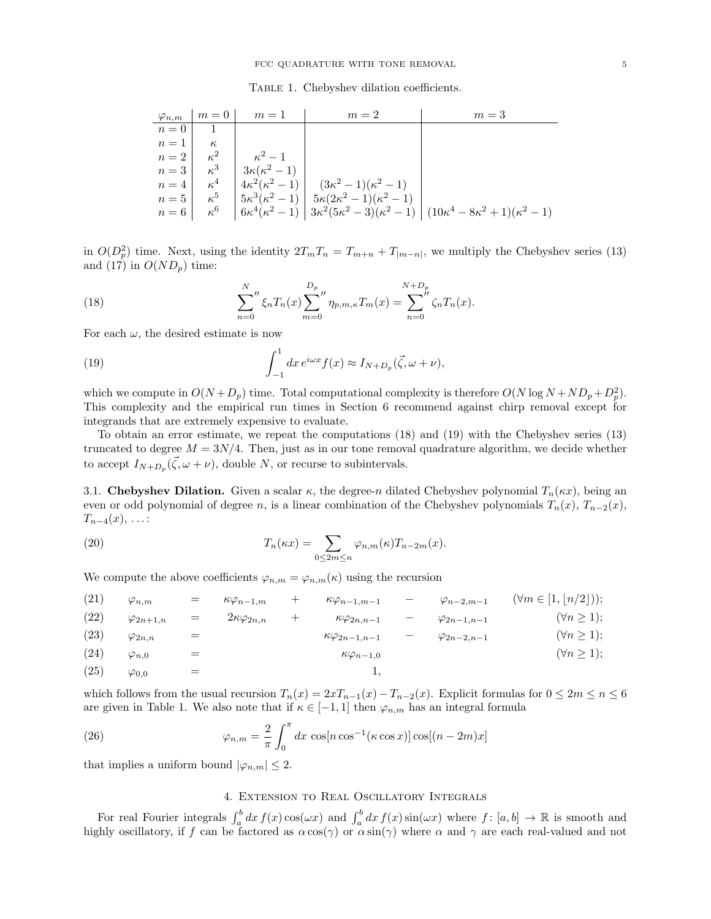Table 1. Chebyshev dilation coefficients.

|                    | $\varphi_{n,m}$   $m=0$ | $m=1$                 | $m=2$                                                      | $m=3$                                                                                                                         |
|--------------------|-------------------------|-----------------------|------------------------------------------------------------|-------------------------------------------------------------------------------------------------------------------------------|
| $n=0$              |                         |                       |                                                            |                                                                                                                               |
| $n=1$              | $\kappa$                |                       |                                                            |                                                                                                                               |
| $n=2$   $\kappa^2$ |                         | $\kappa^2-1$          |                                                            |                                                                                                                               |
| $n=3$   $\kappa^3$ |                         | $3\kappa(\kappa^2-1)$ |                                                            |                                                                                                                               |
| $n=4$   $\kappa^4$ |                         |                       | $ 4\kappa^2(\kappa^2-1)  (3\kappa^2-1)(\kappa^2-1)$        |                                                                                                                               |
| $n=5$   $\kappa^5$ |                         |                       | $ 5\kappa^3(\kappa^2-1)  5\kappa(2\kappa^2-1)(\kappa^2-1)$ |                                                                                                                               |
|                    | $n=6$   $\kappa^6$      |                       |                                                            | $\left  6\kappa^4(\kappa^2-1) \right  3\kappa^2(5\kappa^2-3)(\kappa^2-1) \left  (10\kappa^4-8\kappa^2+1)(\kappa^2-1) \right $ |

in  $O(D_p^2)$  time. Next, using the identity  $2T_mT_n = T_{m+n} + T_{|m-n|}$ , we multiply the Chebyshev series (13) and (17) in  $O(ND_p)$  time:

(18) 
$$
\sum_{n=0}^{N} \zeta_n T_n(x) \sum_{m=0}^{D_p} \eta_{p,m,\kappa} T_m(x) = \sum_{n=0}^{N+D_p} \zeta_n T_n(x).
$$

For each  $\omega$ , the desired estimate is now

(19) 
$$
\int_{-1}^{1} dx e^{i\omega x} f(x) \approx I_{N+D_p}(\vec{\zeta}, \omega + \nu),
$$

which we compute in  $O(N + D_p)$  time. Total computational complexity is therefore  $O(N \log N + ND_p + D_p^2)$ . This complexity and the empirical run times in Section 6 recommend against chirp removal except for integrands that are extremely expensive to evaluate.

To obtain an error estimate, we repeat the computations (18) and (19) with the Chebyshev series (13) truncated to degree  $M = 3N/4$ . Then, just as in our tone removal quadrature algorithm, we decide whether to accept  $I_{N+D_p}(\vec{\zeta}, \omega + \nu)$ , double N, or recurse to subintervals.

3.1. Chebyshev Dilation. Given a scalar  $\kappa$ , the degree-n dilated Chebyshev polynomial  $T_n(\kappa x)$ , being an even or odd polynomial of degree n, is a linear combination of the Chebyshev polynomials  $T_n(x)$ ,  $T_{n-2}(x)$ ,  $T_{n-4}(x), \ldots$ :

(20) 
$$
T_n(\kappa x) = \sum_{0 \le 2m \le n} \varphi_{n,m}(\kappa) T_{n-2m}(x).
$$

We compute the above coefficients  $\varphi_{n,m} = \varphi_{n,m}(\kappa)$  using the recursion

(21) 
$$
\varphi_{n,m}
$$
 =  $\kappa \varphi_{n-1,m}$  +  $\kappa \varphi_{n-1,m-1}$  -  $\varphi_{n-2,m-1}$  ( $\forall m \in [1, n/2]$ ));  
\n(22)  $\varphi_{2n+1,n}$  =  $2\kappa \varphi_{2n,n}$  +  $\kappa \varphi_{2n,n-1}$  -  $\varphi_{2n-1,n-1}$  ( $\forall n \ge 1$ );  
\n(23)  $\varphi_{2n,n}$  =  $\kappa \varphi_{2n-1,n-1}$  -  $\varphi_{2n-2,n-1}$  ( $\forall n \ge 1$ );  
\n(24)  $\varphi_{n,0}$  =  $\kappa \varphi_{n-1,0}$  ( $\forall n \ge 1$ );  
\n(25)  $\varphi_{0,0}$  = 1,

which follows from the usual recursion  $T_n(x) = 2xT_{n-1}(x) - T_{n-2}(x)$ . Explicit formulas for  $0 \leq 2m \leq n \leq 6$ are given in Table 1. We also note that if  $\kappa \in [-1,1]$  then  $\varphi_{n,m}$  has an integral formula

(26) 
$$
\varphi_{n,m} = \frac{2}{\pi} \int_0^{\pi} dx \cos[n \cos^{-1}(\kappa \cos x)] \cos[(n-2m)x]
$$

that implies a uniform bound  $|\varphi_{n,m}| \leq 2$ .

# 4. Extension to Real Oscillatory Integrals

For real Fourier integrals  $\int_a^b dx f(x) \cos(\omega x)$  and  $\int_a^b dx f(x) \sin(\omega x)$  where  $f: [a, b] \to \mathbb{R}$  is smooth and highly oscillatory, if f can be factored as  $\alpha \cos(\gamma)$  or  $\alpha \sin(\gamma)$  where  $\alpha$  and  $\gamma$  are each real-valued and not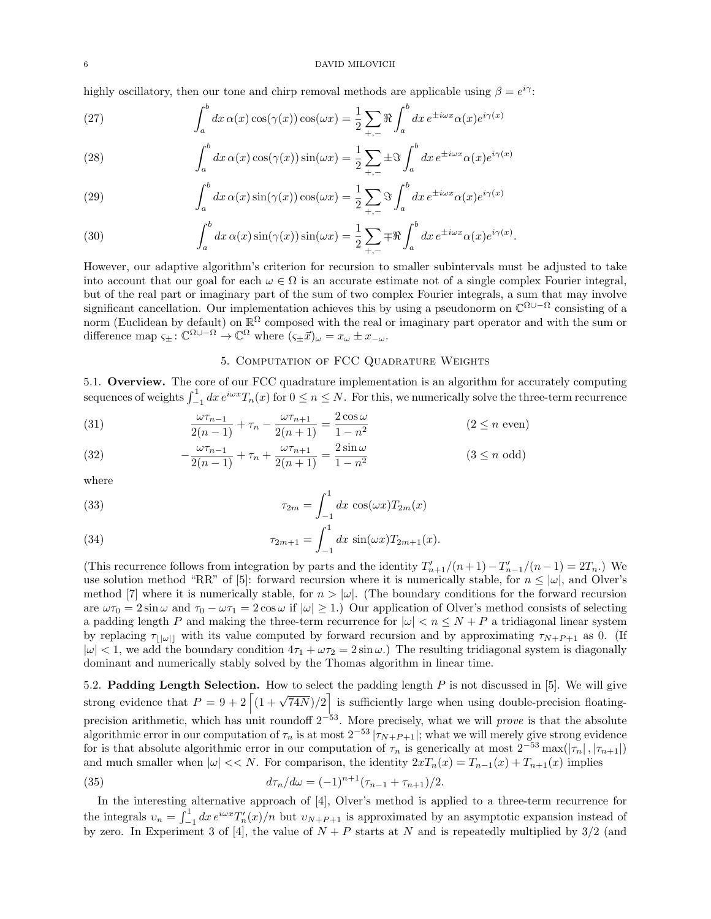### 6 DAVID MILOVICH

highly oscillatory, then our tone and chirp removal methods are applicable using  $\beta = e^{i\gamma}$ :

(27) 
$$
\int_{a}^{b} dx \,\alpha(x) \cos(\gamma(x)) \cos(\omega x) = \frac{1}{2} \sum_{+,-} \Re \int_{a}^{b} dx \, e^{\pm i \omega x} \alpha(x) e^{i \gamma(x)}
$$

(28) 
$$
\int_{a}^{b} dx \,\alpha(x) \cos(\gamma(x)) \sin(\omega x) = \frac{1}{2} \sum_{+,-} \pm \Im \int_{a}^{b} dx \, e^{\pm i \omega x} \alpha(x) e^{i \gamma(x)}
$$

(29) 
$$
\int_{a}^{b} dx \,\alpha(x) \sin(\gamma(x)) \cos(\omega x) = \frac{1}{2} \sum_{+,-} \Im \int_{a}^{b} dx \, e^{\pm i \omega x} \alpha(x) e^{i \gamma(x)}
$$

(30) 
$$
\int_a^b dx \,\alpha(x) \sin(\gamma(x)) \sin(\omega x) = \frac{1}{2} \sum_{+,-} \mp \Re \int_a^b dx \, e^{\pm i \omega x} \alpha(x) e^{i \gamma(x)}.
$$

However, our adaptive algorithm's criterion for recursion to smaller subintervals must be adjusted to take into account that our goal for each  $\omega \in \Omega$  is an accurate estimate not of a single complex Fourier integral, but of the real part or imaginary part of the sum of two complex Fourier integrals, a sum that may involve significant cancellation. Our implementation achieves this by using a pseudonorm on  $\mathbb{C}^{\Omega\cup -\Omega}$  consisting of a norm (Euclidean by default) on  $\mathbb{R}^{\Omega}$  composed with the real or imaginary part operator and with the sum or difference map  $\varsigma_{\pm} : \mathbb{C}^{\Omega \cup -\Omega} \to \mathbb{C}^{\Omega}$  where  $(\varsigma_{\pm} \vec{x})_{\omega} = x_{\omega} \pm x_{-\omega}$ .

# 5. Computation of FCC Quadrature Weights

5.1. Overview. The core of our FCC quadrature implementation is an algorithm for accurately computing sequences of weights  $\int_{-1}^{1} dx e^{i\omega x} T_n(x)$  for  $0 \le n \le N$ . For this, we numerically solve the three-term recurrence

(31) 
$$
\frac{\omega \tau_{n-1}}{2(n-1)} + \tau_n - \frac{\omega \tau_{n+1}}{2(n+1)} = \frac{2 \cos \omega}{1 - n^2}
$$
  $(2 \le n \text{ even})$ 

(32) 
$$
-\frac{\omega \tau_{n-1}}{2(n-1)} + \tau_n + \frac{\omega \tau_{n+1}}{2(n+1)} = \frac{2 \sin \omega}{1 - n^2}
$$
 (3 \le n odd)

where

(33) 
$$
\tau_{2m} = \int_{-1}^{1} dx \cos(\omega x) T_{2m}(x)
$$

(34) 
$$
\tau_{2m+1} = \int_{-1}^{1} dx \sin(\omega x) T_{2m+1}(x).
$$

(This recurrence follows from integration by parts and the identity  $T'_{n+1}/(n+1) - T'_{n-1}/(n-1) = 2T_n$ .) We use solution method "RR" of [5]: forward recursion where it is numerically stable, for  $n \leq |\omega|$ , and Olver's method [7] where it is numerically stable, for  $n > |\omega|$ . (The boundary conditions for the forward recursion are  $\omega \tau_0 = 2 \sin \omega$  and  $\tau_0 - \omega \tau_1 = 2 \cos \omega$  if  $|\omega| \ge 1$ .) Our application of Olver's method consists of selecting a padding length P and making the three-term recurrence for  $|\omega| < n \le N + P$  a tridiagonal linear system by replacing  $\tau_{\vert\vert\omega\vert\vert}$  with its value computed by forward recursion and by approximating  $\tau_{N+P+1}$  as 0. (If  $|\omega| < 1$ , we add the boundary condition  $4\tau_1 + \omega \tau_2 = 2 \sin \omega$ .) The resulting tridiagonal system is diagonally dominant and numerically stably solved by the Thomas algorithm in linear time.

5.2. Padding Length Selection. How to select the padding length  $P$  is not discussed in [5]. We will give strong evidence that  $P = 9 + 2 \left[ (1 + \sqrt{74N})/2 \right]$  is sufficiently large when using double-precision floatingprecision arithmetic, which has unit roundoff  $2^{-53}$ . More precisely, what we will *prove* is that the absolute algorithmic error in our computation of  $\tau_n$  is at most  $2^{-53} |\tau_{N+P+1}|$ ; what we will merely give strong evidence for is that absolute algorithmic error in our computation of  $\tau_n$  is generically at most  $2^{-53}$  max $(|\tau_n|, |\tau_{n+1}|)$ and much smaller when  $|\omega| << N$ . For comparison, the identity  $2xT_n(x) = T_{n-1}(x) + T_{n+1}(x)$  implies

(35) 
$$
d\tau_n/d\omega = (-1)^{n+1}(\tau_{n-1} + \tau_{n+1})/2.
$$

In the interesting alternative approach of [4], Olver's method is applied to a three-term recurrence for the integrals  $v_n = \int_{-1}^{1} dx e^{i\omega x} T'_n(x)/n$  but  $v_{N+P+1}$  is approximated by an asymptotic expansion instead of by zero. In Experiment 3 of [4], the value of  $N + P$  starts at N and is repeatedly multiplied by  $3/2$  (and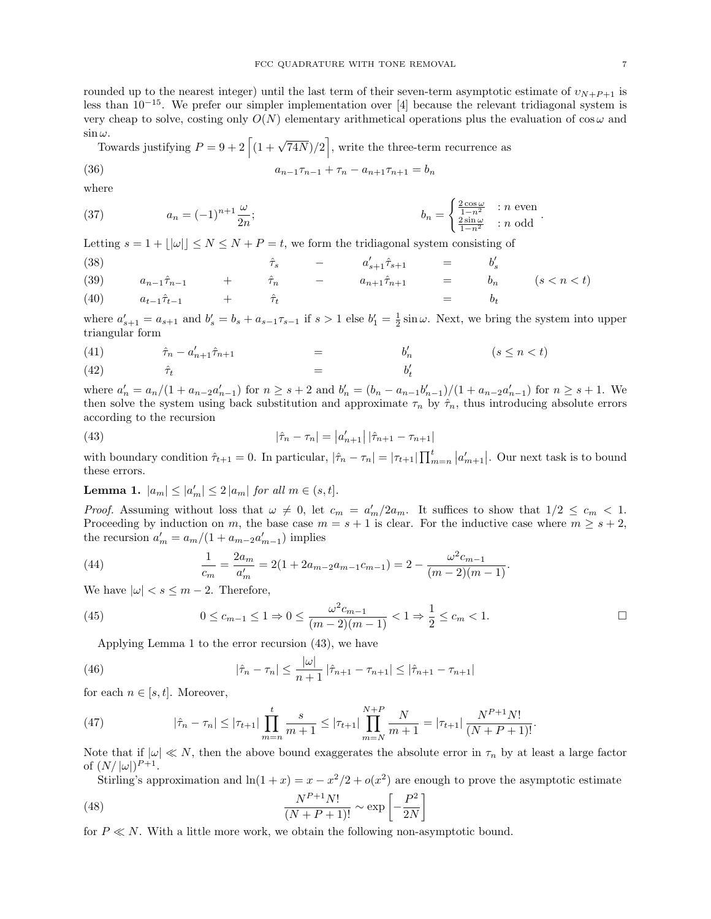rounded up to the nearest integer) until the last term of their seven-term asymptotic estimate of  $v_{N+P+1}$  is less than 10−15. We prefer our simpler implementation over [4] because the relevant tridiagonal system is very cheap to solve, costing only  $O(N)$  elementary arithmetical operations plus the evaluation of  $\cos \omega$  and  $\sin \omega$ .

 $\omega$ .<br>Towards justifying  $P = 9 + 2 \left[ \left(1 + \sqrt{74N}\right)/2 \right]$ , write the three-term recurrence as

(36) 
$$
a_{n-1}\tau_{n-1} + \tau_n - a_{n+1}\tau_{n+1} = b_n
$$

where

(37) 
$$
a_n = (-1)^{n+1} \frac{\omega}{2n}; \qquad b_n = \begin{cases} \frac{2 \cos \omega}{1 - n^2} & : n \text{ even} \\ \frac{2 \sin \omega}{1 - n^2} & : n \text{ odd} \end{cases}.
$$

Letting  $s = 1 + |\omega| | \le N \le N + P = t$ , we form the tridiagonal system consisting of

(38)  
\n
$$
\hat{\tau}_s \quad - \quad a'_{s+1} \hat{\tau}_{s+1} \quad = \quad b'_s
$$
\n(39)  
\n
$$
\hat{a}_{n-1} \hat{\tau}_{n-1} \quad + \quad \hat{\tau}_n \quad - \quad a_{n+1} \hat{\tau}_{n+1} \quad = \quad b_n \quad (s < n < t)
$$
\n(40)  
\n
$$
\hat{a}_{t-1} \hat{\tau}_{t-1} \quad + \quad \hat{\tau}_t \quad = \quad b_t
$$

where  $a'_{s+1} = a_{s+1}$  and  $b'_{s} = b_{s} + a_{s-1}\tau_{s-1}$  if  $s > 1$  else  $b'_{1} = \frac{1}{2}\sin\omega$ . Next, we bring the system into upper triangular form

$$
(41) \qquad \qquad \hat{\tau}_n - a'_{n+1}\hat{\tau}_{n+1} \qquad \qquad = \qquad \qquad b'_n \qquad \qquad (s \le n < t)
$$

$$
(42) \qquad \qquad \hat{\tau}_t \qquad \qquad = \qquad \qquad b'_t
$$

where  $a'_n = a_n/(1 + a_{n-2}a'_{n-1})$  for  $n \ge s+2$  and  $b'_n = (b_n - a_{n-1}b'_{n-1})/(1 + a_{n-2}a'_{n-1})$  for  $n \ge s+1$ . We then solve the system using back substitution and approximate  $\tau_n$  by  $\hat{\tau}_n$ , thus introducing absolute errors according to the recursion

(43) 
$$
|\hat{\tau}_n - \tau_n| = |a'_{n+1}| |\hat{\tau}_{n+1} - \tau_{n+1}|
$$

with boundary condition  $\hat{\tau}_{t+1} = 0$ . In particular,  $|\hat{\tau}_n - \tau_n| = |\tau_{t+1}| \prod_{m=n}^t |a'_{m+1}|$ . Our next task is to bound these errors.

**Lemma 1.**  $|a_m| \leq |a'_m| \leq 2 |a_m|$  for all  $m \in (s, t]$ .

*Proof.* Assuming without loss that  $\omega \neq 0$ , let  $c_m = a'_m/2a_m$ . It suffices to show that  $1/2 \leq c_m < 1$ . Proceeding by induction on m, the base case  $m = s + 1$  is clear. For the inductive case where  $m \geq s + 2$ , the recursion  $a'_m = a_m/(1 + a_{m-2}a'_{m-1})$  implies

(44) 
$$
\frac{1}{c_m} = \frac{2a_m}{a'_m} = 2(1 + 2a_{m-2}a_{m-1}c_{m-1}) = 2 - \frac{\omega^2 c_{m-1}}{(m-2)(m-1)}.
$$

We have  $|\omega| < s \leq m-2$ . Therefore,

(45) 
$$
0 \leq c_{m-1} \leq 1 \Rightarrow 0 \leq \frac{\omega^2 c_{m-1}}{(m-2)(m-1)} < 1 \Rightarrow \frac{1}{2} \leq c_m < 1.
$$

Applying Lemma 1 to the error recursion (43), we have

(46) 
$$
|\hat{\tau}_n - \tau_n| \leq \frac{|\omega|}{n+1} |\hat{\tau}_{n+1} - \tau_{n+1}| \leq |\hat{\tau}_{n+1} - \tau_{n+1}|
$$

for each  $n \in [s, t]$ . Moreover,

(47) 
$$
|\hat{\tau}_n - \tau_n| \leq |\tau_{t+1}| \prod_{m=n}^t \frac{s}{m+1} \leq |\tau_{t+1}| \prod_{m=N}^{N+P} \frac{N}{m+1} = |\tau_{t+1}| \frac{N^{P+1} N!}{(N+P+1)!}.
$$

Note that if  $|\omega| \ll N$ , then the above bound exaggerates the absolute error in  $\tau_n$  by at least a large factor of  $(N/|\omega|)^{P+1}$ .

Stirling's approximation and  $\ln(1+x) = x - x^2/2 + o(x^2)$  are enough to prove the asymptotic estimate 2

(48) 
$$
\frac{N^{P+1}N!}{(N+P+1)!} \sim \exp\left[-\frac{P^2}{2N}\right]
$$

for  $P \ll N$ . With a little more work, we obtain the following non-asymptotic bound.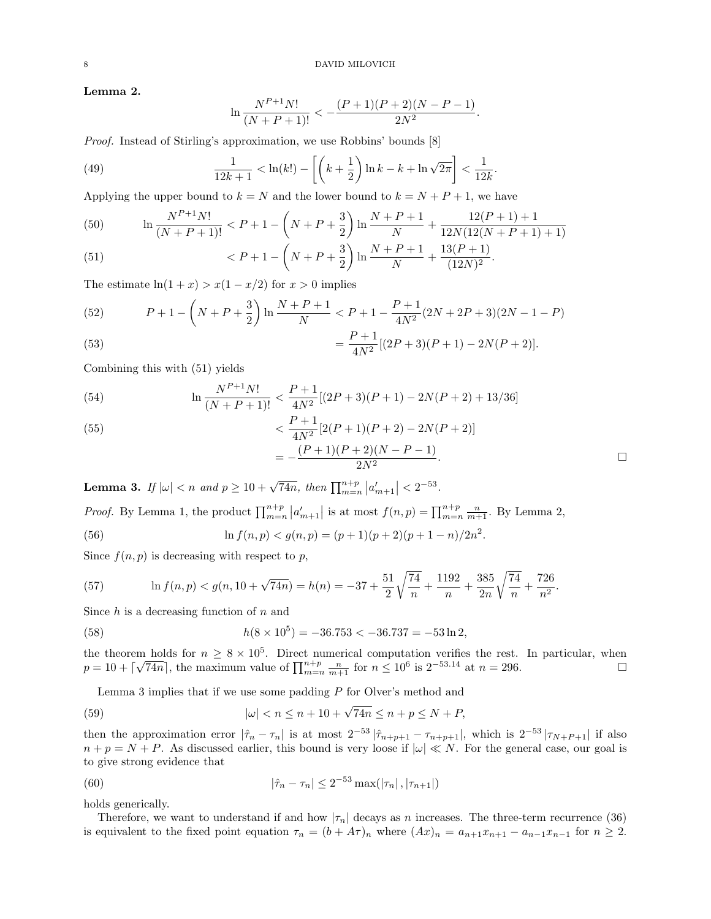Lemma 2.

$$
\ln \frac{N^{P+1}N!}{(N+P+1)!} < -\frac{(P+1)(P+2)(N-P-1)}{2N^2}.
$$

Proof. Instead of Stirling's approximation, we use Robbins' bounds [8]

(49) 
$$
\frac{1}{12k+1} < \ln(k!) - \left[ \left( k + \frac{1}{2} \right) \ln k - k + \ln \sqrt{2\pi} \right] < \frac{1}{12k}.
$$

Applying the upper bound to  $k = N$  and the lower bound to  $k = N + P + 1$ , we have

(50) 
$$
\ln \frac{N^{P+1}N!}{(N+P+1)!} < P+1 - \left(N+P+\frac{3}{2}\right)\ln \frac{N+P+1}{N} + \frac{12(P+1)+1}{12N(12(N+P+1)+1)}
$$

(51) 
$$
\langle P+1-\left(N+P+\frac{3}{2}\right)\ln\frac{N+P+1}{N}+\frac{13(P+1)}{(12N)^2}.
$$

The estimate  $ln(1 + x) > x(1 - x/2)$  for  $x > 0$  implies

(52) 
$$
P + 1 - \left(N + P + \frac{3}{2}\right) \ln \frac{N + P + 1}{N} < P + 1 - \frac{P + 1}{4N^2} (2N + 2P + 3)(2N - 1 - P)
$$
\n
$$
P + 1_{\{(3,3,4,5)\}} (2N + 3) \left(2N + 3\right)
$$

(53) 
$$
= \frac{P+1}{4N^2} [(2P+3)(P+1) - 2N(P+2)].
$$

Combining this with (51) yields

(54) 
$$
\ln \frac{N^{P+1}N!}{(N+P+1)!} < \frac{P+1}{4N^2} [(2P+3)(P+1) - 2N(P+2) + 13/36]
$$

(55)  

$$
< \frac{P+1}{4N^2} [2(P+1)(P+2) - 2N(P+2)]
$$

$$
= -\frac{(P+1)(P+2)(N-P-1)}{2N^2}.
$$

**Lemma 3.** If  $|\omega| < n$  and  $p \ge 10 + \sqrt{74n}$ , then  $\prod_{m=n}^{n+p} |a'_{m+1}| < 2^{-53}$ .

*Proof.* By Lemma 1, the product  $\prod_{m=n}^{n+p} |a'_{m+1}|$  is at most  $f(n,p) = \prod_{m=n}^{n+p} \frac{n}{m+1}$ . By Lemma 2,

(56) 
$$
\ln f(n, p) < g(n, p) = (p + 1)(p + 2)(p + 1 - n)/2n^2.
$$

Since  $f(n, p)$  is decreasing with respect to p,

(57) 
$$
\ln f(n, p) < g(n, 10 + \sqrt{74n}) = h(n) = -37 + \frac{51}{2} \sqrt{\frac{74}{n}} + \frac{1192}{n} + \frac{385}{2n} \sqrt{\frac{74}{n}} + \frac{726}{n^2}
$$

Since  $h$  is a decreasing function of  $n$  and

(58) 
$$
h(8 \times 10^5) = -36.753 < -36.737 = -53 \ln 2,
$$

the theorem holds for  $n \geq 8 \times 10^5$ . Direct numerical computation verifies the rest. In particular, when  $p = 10 + [$ m notes for  $n \ge 8 \times 10^8$ . Direct numerical computation vertiles the rest. In particular, when  $\sqrt{74n}$ , the maximum value of  $\prod_{m=n}^{n+p} \frac{n}{m+1}$  for  $n \le 10^6$  is  $2^{-53.14}$  at  $n = 296$ .

Lemma 3 implies that if we use some padding  $P$  for Olver's method and

(59) 
$$
|\omega| < n \le n + 10 + \sqrt{74n} \le n + p \le N + P,
$$

then the approximation error  $|\hat{\tau}_n - \tau_n|$  is at most  $2^{-53} |\hat{\tau}_{n+p+1} - \tau_{n+p+1}|$ , which is  $2^{-53} |\tau_{N+p+1}|$  if also  $n + p = N + P$ . As discussed earlier, this bound is very loose if  $|\omega| \ll N$ . For the general case, our goal is to give strong evidence that

(60) 
$$
|\hat{\tau}_n - \tau_n| \leq 2^{-53} \max(|\tau_n|, |\tau_{n+1}|)
$$

holds generically.

Therefore, we want to understand if and how  $|\tau_n|$  decays as n increases. The three-term recurrence (36) is equivalent to the fixed point equation  $\tau_n = (b + A\tau)_n$  where  $(Ax)_n = a_{n+1}x_{n+1} - a_{n-1}x_{n-1}$  for  $n \ge 2$ .

.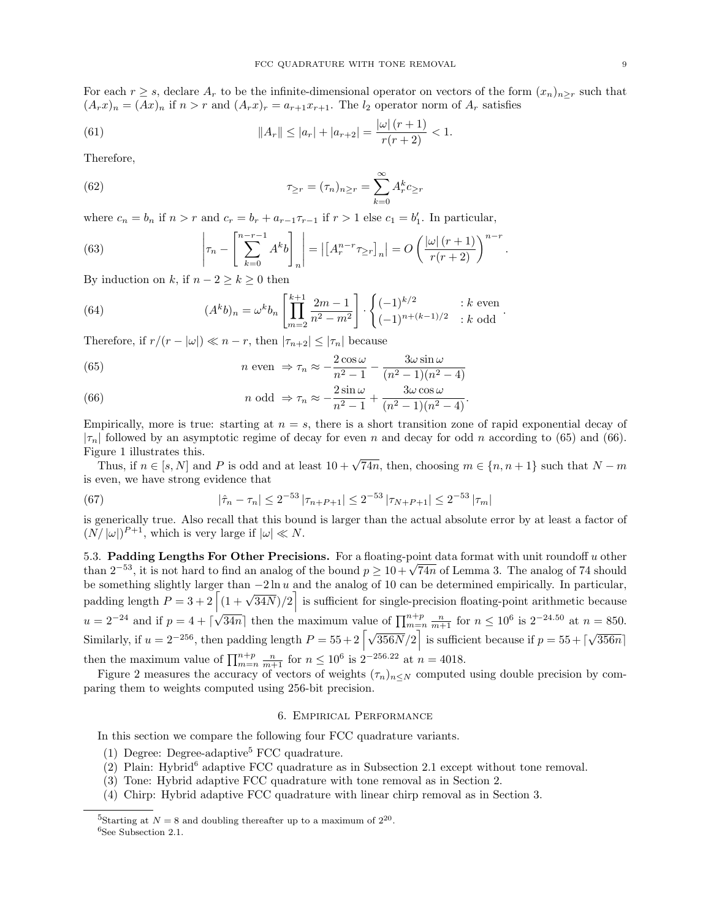For each  $r \geq s$ , declare  $A_r$  to be the infinite-dimensional operator on vectors of the form  $(x_n)_{n>r}$  such that  $(A_rx)_n = (Ax)_n$  if  $n > r$  and  $(A_rx)_r = a_{r+1}x_{r+1}$ . The  $l_2$  operator norm of  $A_r$  satisfies

(61) 
$$
||A_r|| \le |a_r| + |a_{r+2}| = \frac{|\omega| (r+1)}{r(r+2)} < 1.
$$

Therefore,

(62) 
$$
\tau_{\geq r} = (\tau_n)_{n \geq r} = \sum_{k=0}^{\infty} A_r^k c_{\geq r}
$$

where  $c_n = b_n$  if  $n > r$  and  $c_r = b_r + a_{r-1}\tau_{r-1}$  if  $r > 1$  else  $c_1 = b'_1$ . In particular,

(63) 
$$
\left|\tau_n - \left[\sum_{k=0}^{n-r-1} A^k b\right]_n\right| = \left|\left[A_r^{n-r} \tau_{\geq r}\right]_n\right| = O\left(\frac{|\omega|(r+1)}{r(r+2)}\right)^{n-r}.
$$

By induction on k, if  $n - 2 \ge k \ge 0$  then

(64) 
$$
(A^{k}b)_{n} = \omega^{k}b_{n} \left[ \prod_{m=2}^{k+1} \frac{2m-1}{n^{2}-m^{2}} \right] \cdot \begin{cases} (-1)^{k/2} & : k \text{ even} \\ (-1)^{n+(k-1)/2} & : k \text{ odd} \end{cases}.
$$

Therefore, if  $r/(r - |\omega|) \ll n - r$ , then  $|\tau_{n+2}| \leq |\tau_n|$  because

(65) 
$$
n \text{ even } \Rightarrow \tau_n \approx -\frac{2\cos\omega}{n^2 - 1} - \frac{3\omega\sin\omega}{(n^2 - 1)(n^2 - 4)}
$$

(66) 
$$
n \text{ odd } \Rightarrow \tau_n \approx -\frac{2\sin\omega}{n^2 - 1} + \frac{3\omega\cos\omega}{(n^2 - 1)(n^2 - 4)}.
$$

Empirically, more is true: starting at  $n = s$ , there is a short transition zone of rapid exponential decay of  $|\tau_n|$  followed by an asymptotic regime of decay for even n and decay for odd n according to (65) and (66). Figure 1 illustrates this.

Thus, if  $n \in [s, N]$  and P is odd and at least  $10 + \sqrt{74n}$ , then, choosing  $m \in \{n, n + 1\}$  such that  $N - m$ is even, we have strong evidence that

(67) 
$$
|\hat{\tau}_n - \tau_n| \leq 2^{-53} |\tau_{n+P+1}| \leq 2^{-53} |\tau_{N+P+1}| \leq 2^{-53} |\tau_m|
$$

is generically true. Also recall that this bound is larger than the actual absolute error by at least a factor of  $(N/|\omega|)^{P+1}$ , which is very large if  $|\omega| \ll N$ .

5.3. Padding Lengths For Other Precisions. For a floating-point data format with unit roundoff  $u$  other 5.3. Padding Lengths For Other Precisions. For a noating-point data format with unit roundoff u other than  $2^{-53}$ , it is not hard to find an analog of the bound  $p \ge 10 + \sqrt{74n}$  of Lemma 3. The analog of 74 should be something slightly larger than −2 ln u and the analog of 10 can be determined empirically. In particular, padding length  $P = 3 + 2 \left[ \frac{(1 + \sqrt{34N})}{2} \right]$  is sufficient for single-precision floating-point arithmetic because  $u = 2^{-24}$  and if  $p = 4 + \lceil \sqrt{34n} \rceil$  then the maximum value of  $\prod_{m=n}^{n+p} \frac{n}{m+1}$  for  $n \le 10^6$  is  $2^{-24.50}$  at  $n = 850$ . Similarly, if  $u = 2^{-256}$ , then padding length  $P = 55 + 2 \left[ \sqrt{356N/2} \right]$  is sufficient because if  $p = 55 + \left[ \sqrt{356N/2} \right]$ √  $356n$ ] then the maximum value of  $\prod_{m=n}^{n+p} \frac{n}{m+1}$  for  $n \leq 10^6$  is  $2^{-256.22}$  at  $n = 4018$ .

Figure 2 measures the accuracy of vectors of weights  $(\tau_n)_{n\leq N}$  computed using double precision by comparing them to weights computed using 256-bit precision.

## 6. Empirical Performance

In this section we compare the following four FCC quadrature variants.

- (1) Degree: Degree-adaptive<sup>5</sup> FCC quadrature.
- $(2)$  Plain: Hybrid<sup>6</sup> adaptive FCC quadrature as in Subsection 2.1 except without tone removal.
- (3) Tone: Hybrid adaptive FCC quadrature with tone removal as in Section 2.
- (4) Chirp: Hybrid adaptive FCC quadrature with linear chirp removal as in Section 3.

<sup>&</sup>lt;sup>5</sup>Starting at  $N = 8$  and doubling thereafter up to a maximum of  $2^{20}$ . <sup>6</sup>See Subsection 2.1.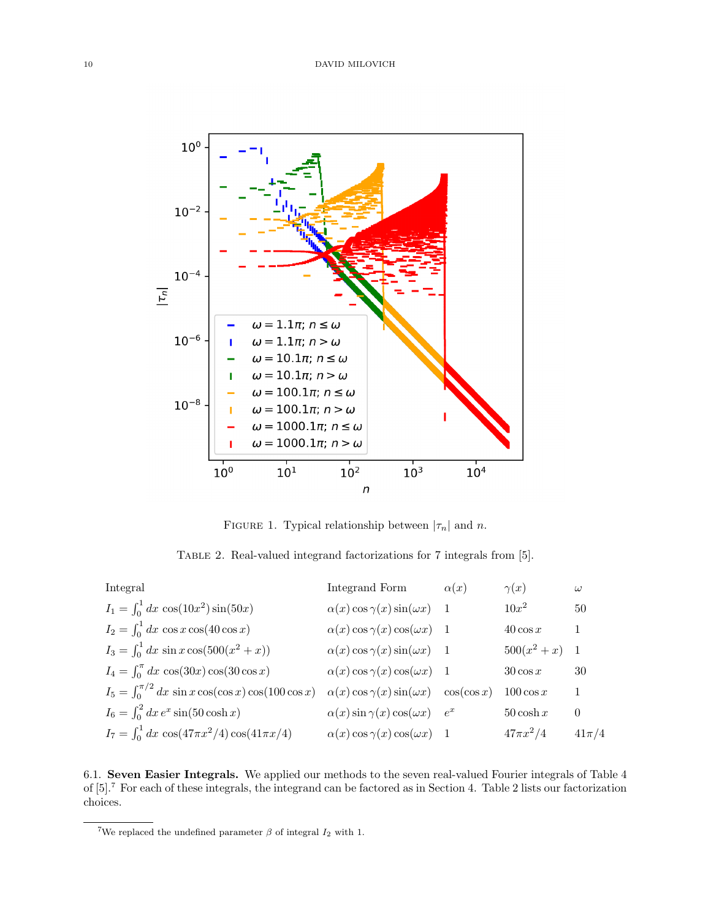

FIGURE 1. Typical relationship between  $|\tau_n|$  and n.

Table 2. Real-valued integrand factorizations for 7 integrals from [5].

| Integral                                                       | Integrand Form                                         | $\alpha(x)$ | $\gamma(x)$    | $\omega$     |
|----------------------------------------------------------------|--------------------------------------------------------|-------------|----------------|--------------|
| $I_1 = \int_0^1 dx \cos(10x^2) \sin(50x)$                      | $\alpha(x)$ cos $\gamma(x)$ sin( $\omega x$ ) 1        |             | $10x^2$        | 50           |
| $I_2 = \int_0^1 dx \cos x \cos(40 \cos x)$                     | $\alpha(x) \cos \gamma(x) \cos(\omega x)$ 1            |             | $40\cos x$     | $\mathbf{1}$ |
| $I_3 = \int_0^1 dx \sin x \cos(500(x^2 + x))$                  | $\alpha(x)$ cos $\gamma(x)$ sin( $\omega x$ ) 1        |             | $500(x^2+x)$ 1 |              |
| $I_4 = \int_0^{\pi} dx \cos(30x) \cos(30 \cos x)$              | $\alpha(x)$ cos $\gamma(x)$ cos( $\omega x$ ) 1        |             | $30\cos x$     | 30           |
| $I_5 = \int_0^{\pi/2} dx \sin x \cos(\cos x) \cos(100 \cos x)$ | $\alpha(x) \cos \gamma(x) \sin(\omega x) \cos(\cos x)$ |             | $100 \cos x$   | $\mathbf{1}$ |
| $I_6 = \int_0^2 dx e^x \sin(50 \cosh x)$                       | $\alpha(x)$ sin $\gamma(x)$ cos( $\omega x$ ) $e^x$    |             | $50 \cosh x$   | $\theta$     |
| $I_7 = \int_0^1 dx \cos(47\pi x^2/4) \cos(41\pi x/4)$          | $\alpha(x)$ cos $\gamma(x)$ cos( $\omega x$ ) 1        |             | $47\pi x^2/4$  | $41\pi/4$    |

6.1. Seven Easier Integrals. We applied our methods to the seven real-valued Fourier integrals of Table 4 of [5].<sup>7</sup> For each of these integrals, the integrand can be factored as in Section 4. Table 2 lists our factorization choices.

<sup>&</sup>lt;sup>7</sup>We replaced the undefined parameter  $\beta$  of integral  $I_2$  with 1.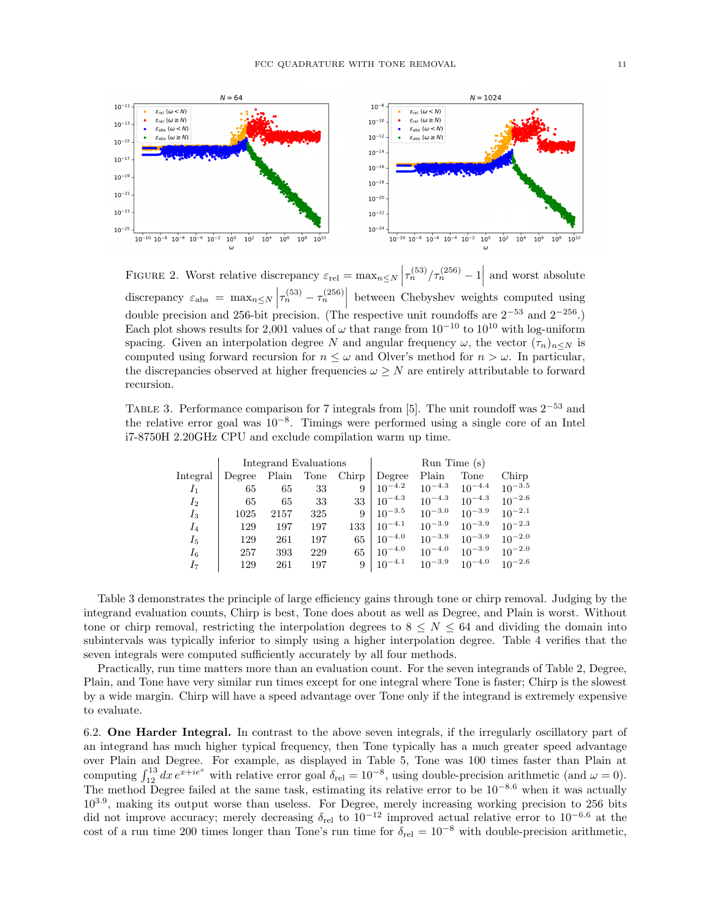

FIGURE 2. Worst relative discrepancy  $\varepsilon_{rel} = \max_{n \leq N} \left| \tau_n^{(53)}/\tau_n^{(256)} - 1 \right|$  and worst absolute discrepancy  $\varepsilon_{\text{abs}} = \max_{n \leq N} \left| \tau_n^{(53)} - \tau_n^{(256)} \right|$  between Chebyshev weights computed using double precision and 256-bit precision. (The respective unit roundoffs are  $2^{-53}$  and  $2^{-256}$ .) Each plot shows results for 2,001 values of  $\omega$  that range from 10<sup>-10</sup> to 10<sup>10</sup> with log-uniform spacing. Given an interpolation degree N and angular frequency  $\omega$ , the vector  $(\tau_n)_{n\leq N}$  is computed using forward recursion for  $n \leq \omega$  and Olver's method for  $n > \omega$ . In particular, the discrepancies observed at higher frequencies  $\omega \geq N$  are entirely attributable to forward recursion.

TABLE 3. Performance comparison for 7 integrals from [5]. The unit roundoff was  $2^{-53}$  and the relative error goal was 10<sup>−</sup><sup>8</sup> . Timings were performed using a single core of an Intel i7-8750H 2.20GHz CPU and exclude compilation warm up time.

|          | Integrand Evaluations |       |      |       | Run Time(s) |             |             |             |
|----------|-----------------------|-------|------|-------|-------------|-------------|-------------|-------------|
| Integral | Degree                | Plain | Tone | Chirp | Degree      | Plain       | Tone        | Chirp       |
| $I_1$    | 65                    | 65    | 33   | 9     | $10^{-4.2}$ | $10^{-4.3}$ | $10^{-4.4}$ | $10^{-3.5}$ |
| $I_2$    | 65                    | 65    | 33   | 33    | $10^{-4.3}$ | $10^{-4.3}$ | $10^{-4.3}$ | $10^{-2.6}$ |
| $I_3$    | 1025                  | 2157  | 325  | 9     | $10^{-3.5}$ | $10^{-3.0}$ | $10^{-3.9}$ | $10^{-2.1}$ |
| $I_4$    | 129                   | 197   | 197  | 133   | $10^{-4.1}$ | $10^{-3.9}$ | $10^{-3.9}$ | $10^{-2.3}$ |
| $I_{5}$  | 129                   | 261   | 197  | 65    | $10^{-4.0}$ | $10^{-3.9}$ | $10^{-3.9}$ | $10^{-2.0}$ |
| $I_6$    | 257                   | 393   | 229  | 65    | $10^{-4.0}$ | $10^{-4.0}$ | $10^{-3.9}$ | $10^{-2.0}$ |
| I7       | 129                   | 261   | 197  | 9     | $10^{-4.1}$ | $10^{-3.9}$ | $10^{-4.0}$ | $10^{-2.6}$ |

Table 3 demonstrates the principle of large efficiency gains through tone or chirp removal. Judging by the integrand evaluation counts, Chirp is best, Tone does about as well as Degree, and Plain is worst. Without tone or chirp removal, restricting the interpolation degrees to  $8 \le N \le 64$  and dividing the domain into subintervals was typically inferior to simply using a higher interpolation degree. Table 4 verifies that the seven integrals were computed sufficiently accurately by all four methods.

Practically, run time matters more than an evaluation count. For the seven integrands of Table 2, Degree, Plain, and Tone have very similar run times except for one integral where Tone is faster; Chirp is the slowest by a wide margin. Chirp will have a speed advantage over Tone only if the integrand is extremely expensive to evaluate.

6.2. One Harder Integral. In contrast to the above seven integrals, if the irregularly oscillatory part of an integrand has much higher typical frequency, then Tone typically has a much greater speed advantage over Plain and Degree. For example, as displayed in Table 5, Tone was 100 times faster than Plain at computing  $\int_{12}^{13} dx e^{x+ie^x}$  with relative error goal  $\delta_{\text{rel}} = 10^{-8}$ , using double-precision arithmetic (and  $\omega = 0$ ). The method Degree failed at the same task, estimating its relative error to be  $10^{-8.6}$  when it was actually 10<sup>3.9</sup>, making its output worse than useless. For Degree, merely increasing working precision to 256 bits did not improve accuracy; merely decreasing  $\delta_{rel}$  to  $10^{-12}$  improved actual relative error to  $10^{-6.6}$  at the cost of a run time 200 times longer than Tone's run time for  $\delta_{rel} = 10^{-8}$  with double-precision arithmetic,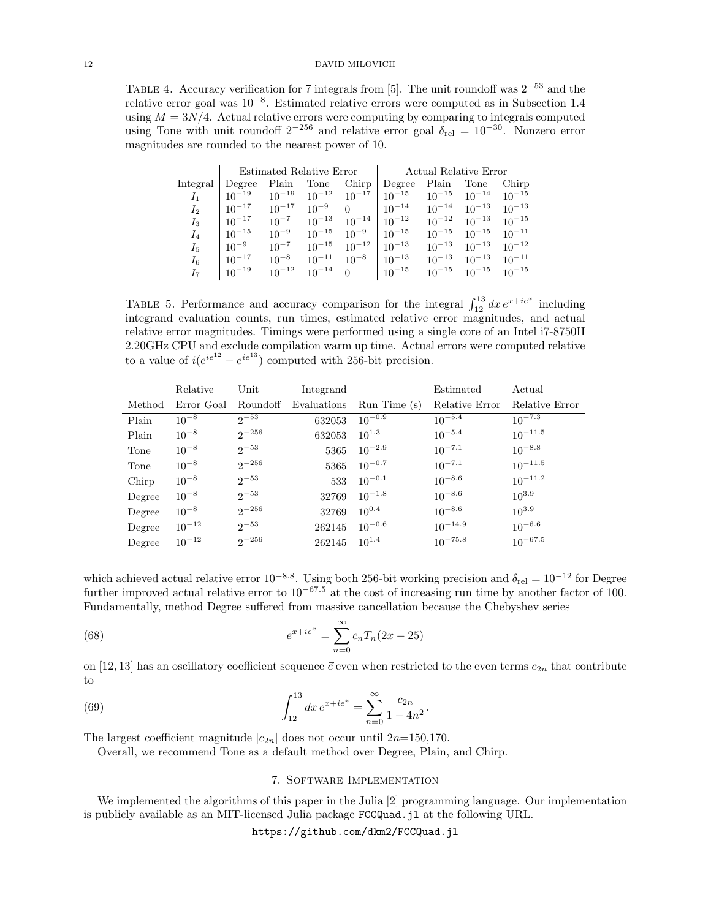TABLE 4. Accuracy verification for 7 integrals from [5]. The unit roundoff was  $2^{-53}$  and the relative error goal was 10−<sup>8</sup> . Estimated relative errors were computed as in Subsection 1.4 using  $M = 3N/4$ . Actual relative errors were computing by comparing to integrals computed using Tone with unit roundoff  $2^{-256}$  and relative error goal  $\delta_{rel} = 10^{-30}$ . Nonzero error magnitudes are rounded to the nearest power of 10.

|                | Estimated Relative Error |            |            |                         | Actual Relative Error |            |                       |            |
|----------------|--------------------------|------------|------------|-------------------------|-----------------------|------------|-----------------------|------------|
| Integral       | Degree                   | Plain      | Tone       | Chirp                   | Degree                | Plain      | Tone                  | Chirp      |
| I <sub>1</sub> | $10^{-19}$               | $10^{-19}$ | $10^{-12}$ | $10^{-17}$              | $10^{-15}$            | $10^{-15}$ | $10^{-14}$            | $10^{-15}$ |
| Iо             | $10^{-17}$               | $10^{-17}$ | $10^{-9}$  | $\Omega$                | $10^{-14}$            | $10^{-14}$ | $10^{-13}$            | $10^{-13}$ |
| $I_3$          | $10^{-17}$               | $10^{-7}$  | $10^{-13}$ | $10^{-14}$   $10^{-12}$ |                       | $10^{-12}$ | $10^{-13}$            | $10^{-15}$ |
| $I_4$          | $10^{-15}$               | $10^{-9}$  | $10^{-15}$ | $10^{-9}$   $10^{-15}$  |                       | $10^{-15}$ | $10^{-15}$            | $10^{-11}$ |
| $I_{5}$        | $10^{-9}$                | $10^{-7}$  | $10^{-15}$ | $10^{-12}$   $10^{-13}$ |                       | $10^{-13}$ | $10^{-13}$            | $10^{-12}$ |
| $I_6$          | $10^{-17}$               | $10^{-8}$  | $10^{-11}$ | $10^{-8}$   $10^{-13}$  |                       | $10^{-13}$ | $10^{-13}$            | $10^{-11}$ |
| I <sub>7</sub> | $10^{-19}$               | $10^{-12}$ | $10^{-14}$ | $\overline{0}$          | $10^{-15}$            |            | $10^{-15}$ $10^{-15}$ | $10^{-15}$ |

TABLE 5. Performance and accuracy comparison for the integral  $\int_{12}^{13} dx e^{x+ie^x}$  including integrand evaluation counts, run times, estimated relative error magnitudes, and actual relative error magnitudes. Timings were performed using a single core of an Intel i7-8750H 2.20GHz CPU and exclude compilation warm up time. Actual errors were computed relative to a value of  $i(e^{ie^{12}} - e^{ie^{13}})$  computed with 256-bit precision.

|        | Relative   | Unit       | Integrand            |             | Estimated      | Actual         |
|--------|------------|------------|----------------------|-------------|----------------|----------------|
| Method | Error Goal |            | Roundoff Evaluations | Run Time(s) | Relative Error | Relative Error |
| Plain  | $10^{-8}$  | $2^{-53}$  | 632053               | $10^{-0.9}$ | $10^{-5.4}$    | $10^{-7.3}$    |
| Plain  | $10^{-8}$  | $2^{-256}$ | 632053               | $10^{1.3}$  | $10^{-5.4}$    | $10^{-11.5}$   |
| Tone   | $10^{-8}$  | $2^{-53}$  | 5365                 | $10^{-2.9}$ | $10^{-7.1}$    | $10^{-8.8}$    |
| Tone   | $10^{-8}$  | $2^{-256}$ | 5365                 | $10^{-0.7}$ | $10^{-7.1}$    | $10^{-11.5}$   |
| Chirp  | $10^{-8}$  | $2^{-53}$  | 533                  | $10^{-0.1}$ | $10^{-8.6}$    | $10^{-11.2}$   |
| Degree | $10^{-8}$  | $2^{-53}$  | 32769                | $10^{-1.8}$ | $10^{-8.6}$    | $10^{3.9}$     |
| Degree | $10^{-8}$  | $2^{-256}$ | 32769                | $10^{0.4}$  | $10^{-8.6}$    | $10^{3.9}$     |
| Degree | $10^{-12}$ | $2^{-53}$  | 262145               | $10^{-0.6}$ | $10^{-14.9}$   | $10^{-6.6}$    |
| Degree | $10^{-12}$ | $2^{-256}$ | 262145               | $10^{1.4}$  | $10^{-75.8}$   | $10^{-67.5}$   |

which achieved actual relative error  $10^{-8.8}$ . Using both 256-bit working precision and  $\delta_{\text{rel}} = 10^{-12}$  for Degree further improved actual relative error to  $10^{-67.5}$  at the cost of increasing run time by another factor of 100. Fundamentally, method Degree suffered from massive cancellation because the Chebyshev series

(68) 
$$
e^{x+ie^x} = \sum_{n=0}^{\infty} c_n T_n (2x - 25)
$$

on [12, 13] has an oscillatory coefficient sequence  $\vec{c}$  even when restricted to the even terms  $c_{2n}$  that contribute to

.

(69) 
$$
\int_{12}^{13} dx \, e^{x + ie^x} = \sum_{n=0}^{\infty} \frac{c_{2n}}{1 - 4n^2}
$$

The largest coefficient magnitude  $|c_{2n}|$  does not occur until  $2n=150,170$ .

Overall, we recommend Tone as a default method over Degree, Plain, and Chirp.

### 7. Software Implementation

We implemented the algorithms of this paper in the Julia [2] programming language. Our implementation is publicly available as an MIT-licensed Julia package FCCQuad.jl at the following URL.

https://github.com/dkm2/FCCQuad.jl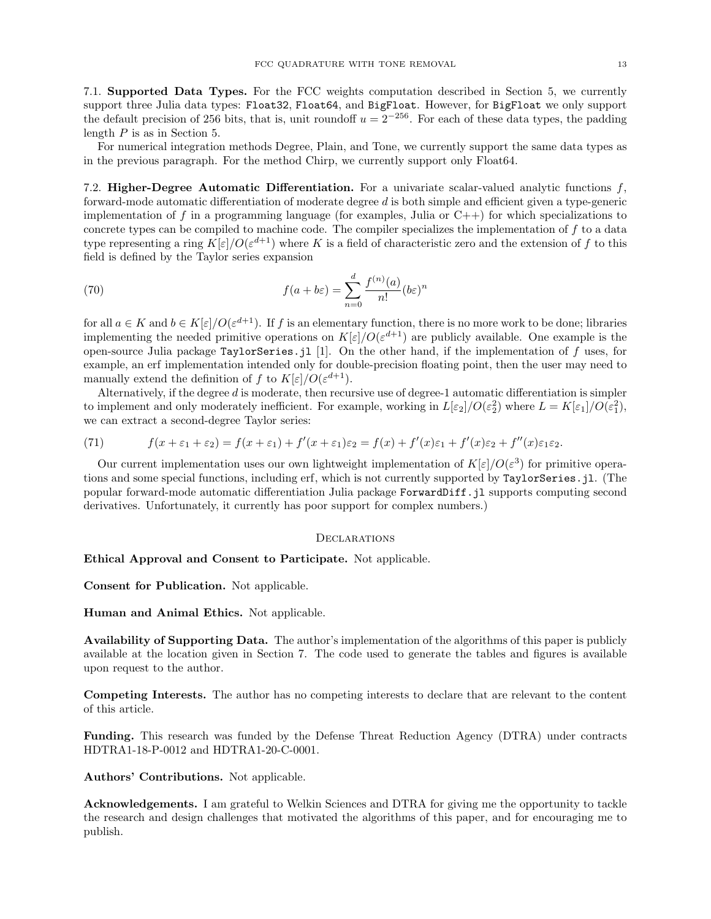7.1. Supported Data Types. For the FCC weights computation described in Section 5, we currently support three Julia data types: Float32, Float64, and BigFloat. However, for BigFloat we only support the default precision of 256 bits, that is, unit roundoff  $u = 2^{-256}$ . For each of these data types, the padding length P is as in Section 5.

For numerical integration methods Degree, Plain, and Tone, we currently support the same data types as in the previous paragraph. For the method Chirp, we currently support only Float64.

7.2. Higher-Degree Automatic Differentiation. For a univariate scalar-valued analytic functions  $f$ , forward-mode automatic differentiation of moderate degree d is both simple and efficient given a type-generic implementation of f in a programming language (for examples, Julia or  $C_{++}$ ) for which specializations to concrete types can be compiled to machine code. The compiler specializes the implementation of f to a data type representing a ring  $K[\varepsilon]/O(\varepsilon^{d+1})$  where K is a field of characteristic zero and the extension of f to this field is defined by the Taylor series expansion

(70) 
$$
f(a+b\varepsilon) = \sum_{n=0}^{d} \frac{f^{(n)}(a)}{n!} (b\varepsilon)^n
$$

for all  $a \in K$  and  $b \in K[\varepsilon]/O(\varepsilon^{d+1})$ . If f is an elementary function, there is no more work to be done; libraries implementing the needed primitive operations on  $K[\varepsilon]/O(\varepsilon^{d+1})$  are publicly available. One example is the open-source Julia package TaylorSeries.jl [1]. On the other hand, if the implementation of f uses, for example, an erf implementation intended only for double-precision floating point, then the user may need to manually extend the definition of f to  $K[\varepsilon]/O(\varepsilon^{d+1})$ .

Alternatively, if the degree d is moderate, then recursive use of degree-1 automatic differentiation is simpler to implement and only moderately inefficient. For example, working in  $L[\varepsilon_2]/O(\varepsilon_2^2)$  where  $L = K[\varepsilon_1]/O(\varepsilon_1^2)$ , we can extract a second-degree Taylor series:

(71) 
$$
f(x+\varepsilon_1+\varepsilon_2)=f(x+\varepsilon_1)+f'(x+\varepsilon_1)\varepsilon_2=f(x)+f'(x)\varepsilon_1+f'(x)\varepsilon_2+f''(x)\varepsilon_1\varepsilon_2.
$$

Our current implementation uses our own lightweight implementation of  $K[\varepsilon]/O(\varepsilon^3)$  for primitive operations and some special functions, including erf, which is not currently supported by TaylorSeries.jl. (The popular forward-mode automatic differentiation Julia package ForwardDiff.jl supports computing second derivatives. Unfortunately, it currently has poor support for complex numbers.)

#### **DECLARATIONS**

Ethical Approval and Consent to Participate. Not applicable.

Consent for Publication. Not applicable.

Human and Animal Ethics. Not applicable.

Availability of Supporting Data. The author's implementation of the algorithms of this paper is publicly available at the location given in Section 7. The code used to generate the tables and figures is available upon request to the author.

Competing Interests. The author has no competing interests to declare that are relevant to the content of this article.

Funding. This research was funded by the Defense Threat Reduction Agency (DTRA) under contracts HDTRA1-18-P-0012 and HDTRA1-20-C-0001.

Authors' Contributions. Not applicable.

Acknowledgements. I am grateful to Welkin Sciences and DTRA for giving me the opportunity to tackle the research and design challenges that motivated the algorithms of this paper, and for encouraging me to publish.